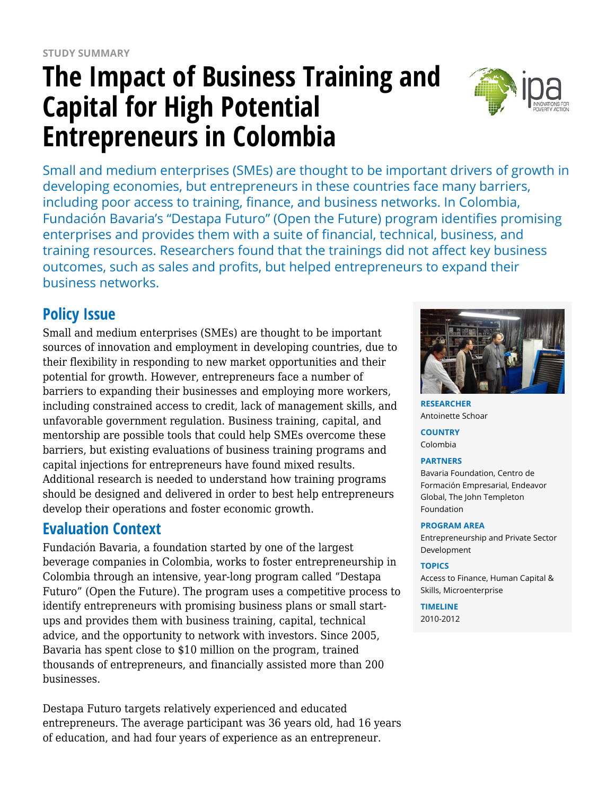# **The Impact of Business Training and Capital for High Potential Entrepreneurs in Colombia**



Small and medium enterprises (SMEs) are thought to be important drivers of growth in developing economies, but entrepreneurs in these countries face many barriers, including poor access to training, finance, and business networks. In Colombia, Fundación Bavaria's "Destapa Futuro" (Open the Future) program identifies promising enterprises and provides them with a suite of financial, technical, business, and training resources. Researchers found that the trainings did not affect key business outcomes, such as sales and profits, but helped entrepreneurs to expand their business networks.

# **Policy Issue**

Small and medium enterprises (SMEs) are thought to be important sources of innovation and employment in developing countries, due to their flexibility in responding to new market opportunities and their potential for growth. However, entrepreneurs face a number of barriers to expanding their businesses and employing more workers, including constrained access to credit, lack of management skills, and unfavorable government regulation. Business training, capital, and mentorship are possible tools that could help SMEs overcome these barriers, but existing evaluations of business training programs and capital injections for entrepreneurs have found mixed results. Additional research is needed to understand how training programs should be designed and delivered in order to best help entrepreneurs develop their operations and foster economic growth.

### **Evaluation Context**

Fundación Bavaria, a foundation started by one of the largest beverage companies in Colombia, works to foster entrepreneurship in Colombia through an intensive, year-long program called "Destapa Futuro" (Open the Future). The program uses a competitive process to identify entrepreneurs with promising business plans or small startups and provides them with business training, capital, technical advice, and the opportunity to network with investors. Since 2005, Bavaria has spent close to \$10 million on the program, trained thousands of entrepreneurs, and financially assisted more than 200 businesses.

Destapa Futuro targets relatively experienced and educated entrepreneurs. The average participant was 36 years old, had 16 years of education, and had four years of experience as an entrepreneur.



**RESEARCHER** Antoinette Schoar

**COUNTRY** Colombia

#### **PARTNERS**

Bavaria Foundation, Centro de Formación Empresarial, Endeavor Global, The John Templeton Foundation

#### **PROGRAM AREA**

Entrepreneurship and Private Sector Development

#### **TOPICS**

Access to Finance, Human Capital & Skills, Microenterprise

**TIMELINE** 2010-2012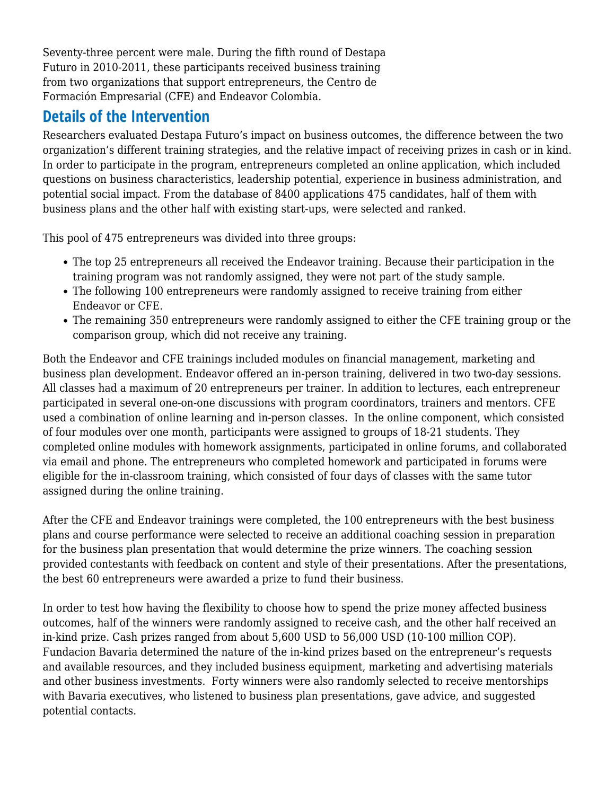Seventy-three percent were male. During the fifth round of Destapa Futuro in 2010-2011, these participants received business training from two organizations that support entrepreneurs, the Centro de Formación Empresarial (CFE) and Endeavor Colombia.

### **Details of the Intervention**

Researchers evaluated Destapa Futuro's impact on business outcomes, the difference between the two organization's different training strategies, and the relative impact of receiving prizes in cash or in kind. In order to participate in the program, entrepreneurs completed an online application, which included questions on business characteristics, leadership potential, experience in business administration, and potential social impact. From the database of 8400 applications 475 candidates, half of them with business plans and the other half with existing start-ups, were selected and ranked.

This pool of 475 entrepreneurs was divided into three groups:

- The top 25 entrepreneurs all received the Endeavor training. Because their participation in the training program was not randomly assigned, they were not part of the study sample.
- The following 100 entrepreneurs were randomly assigned to receive training from either Endeavor or CFE.
- The remaining 350 entrepreneurs were randomly assigned to either the CFE training group or the comparison group, which did not receive any training.

Both the Endeavor and CFE trainings included modules on financial management, marketing and business plan development. Endeavor offered an in-person training, delivered in two two-day sessions. All classes had a maximum of 20 entrepreneurs per trainer. In addition to lectures, each entrepreneur participated in several one-on-one discussions with program coordinators, trainers and mentors. CFE used a combination of online learning and in-person classes. In the online component, which consisted of four modules over one month, participants were assigned to groups of 18-21 students. They completed online modules with homework assignments, participated in online forums, and collaborated via email and phone. The entrepreneurs who completed homework and participated in forums were eligible for the in-classroom training, which consisted of four days of classes with the same tutor assigned during the online training.

After the CFE and Endeavor trainings were completed, the 100 entrepreneurs with the best business plans and course performance were selected to receive an additional coaching session in preparation for the business plan presentation that would determine the prize winners. The coaching session provided contestants with feedback on content and style of their presentations. After the presentations, the best 60 entrepreneurs were awarded a prize to fund their business.

In order to test how having the flexibility to choose how to spend the prize money affected business outcomes, half of the winners were randomly assigned to receive cash, and the other half received an in-kind prize. Cash prizes ranged from about 5,600 USD to 56,000 USD (10-100 million COP). Fundacion Bavaria determined the nature of the in-kind prizes based on the entrepreneur's requests and available resources, and they included business equipment, marketing and advertising materials and other business investments. Forty winners were also randomly selected to receive mentorships with Bavaria executives, who listened to business plan presentations, gave advice, and suggested potential contacts.